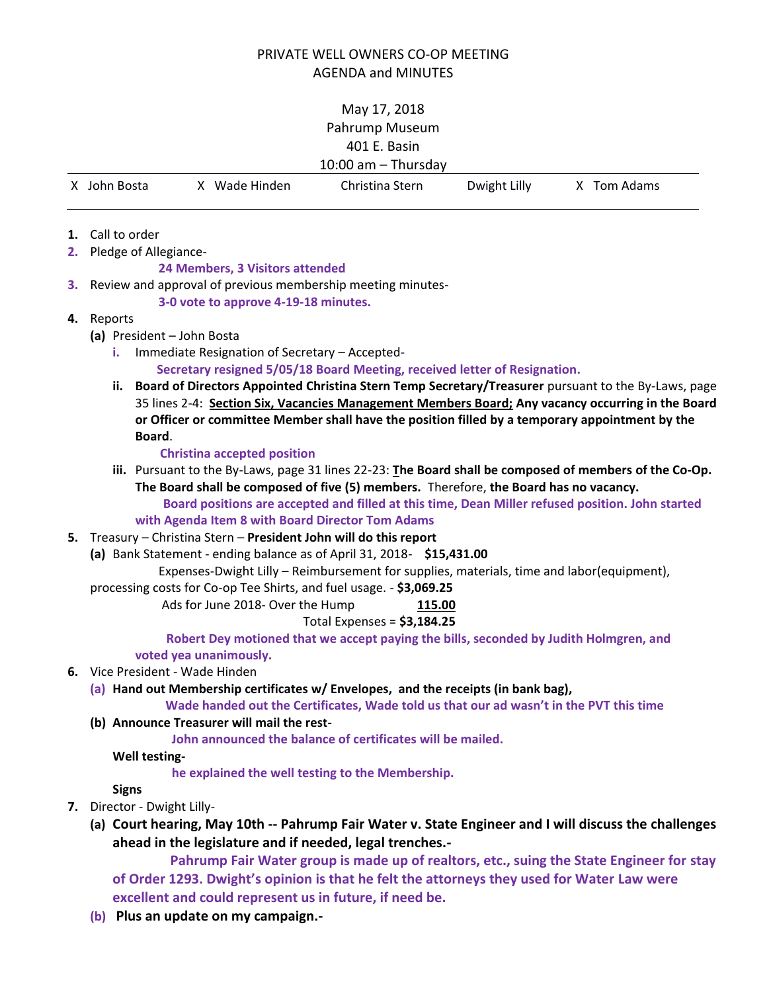## PRIVATE WELL OWNERS CO-OP MEETING AGENDA and MINUTES

# May 17, 2018 Pahrump Museum 401 E. Basin

| 10:00 am $-$ Thursday |             |                 |              |             |
|-----------------------|-------------|-----------------|--------------|-------------|
| X John Bosta          | Wade Hinden | Christina Stern | Dwight Lilly | X Tom Adams |
|                       |             |                 |              |             |

**1.** Call to order

**2.** Pledge of Allegiance-

### **24 Members, 3 Visitors attended**

**3.** Review and approval of previous membership meeting minutes-

### **3-0 vote to approve 4-19-18 minutes.**

## **4.** Reports

- **(a)** President John Bosta
	- **i.** Immediate Resignation of Secretary Accepted-

### **Secretary resigned 5/05/18 Board Meeting, received letter of Resignation.**

**ii. Board of Directors Appointed Christina Stern Temp Secretary/Treasurer** pursuant to the By-Laws, page 35 lines 2-4: **Section Six, Vacancies Management Members Board; Any vacancy occurring in the Board or Officer or committee Member shall have the position filled by a temporary appointment by the Board**.

### **Christina accepted position**

**iii.** Pursuant to the By-Laws, page 31 lines 22-23: **The Board shall be composed of members of the Co-Op. The Board shall be composed of five (5) members.** Therefore, **the Board has no vacancy.** 

 **Board positions are accepted and filled at this time, Dean Miller refused position. John started** 

## **with Agenda Item 8 with Board Director Tom Adams**

- **5.** Treasury Christina Stern **President John will do this report**
	- **(a)** Bank Statement ending balance as of April 31, 2018- **\$15,431.00**

Expenses-Dwight Lilly – Reimbursement for supplies, materials, time and labor(equipment),

processing costs for Co-op Tee Shirts, and fuel usage. - **\$3,069.25**

Ads for June 2018- Over the Hump **115.00**

## Total Expenses = **\$3,184.25**

 **Robert Dey motioned that we accept paying the bills, seconded by Judith Holmgren, and voted yea unanimously.**

## **6.** Vice President - Wade Hinden

**(a) Hand out Membership certificates w/ Envelopes, and the receipts (in bank bag),**

 **Wade handed out the Certificates, Wade told us that our ad wasn't in the PVT this time**

## **(b) Announce Treasurer will mail the rest-**

 **John announced the balance of certificates will be mailed.** 

**Well testing-**

 **he explained the well testing to the Membership.**

**Signs**

- **7.** Director Dwight Lilly-
	- **(a) Court hearing, May 10th -- Pahrump Fair Water v. State Engineer and I will discuss the challenges ahead in the legislature and if needed, legal trenches.-**

 **Pahrump Fair Water group is made up of realtors, etc., suing the State Engineer for stay of Order 1293. Dwight's opinion is that he felt the attorneys they used for Water Law were excellent and could represent us in future, if need be.** 

**(b) Plus an update on my campaign.-**